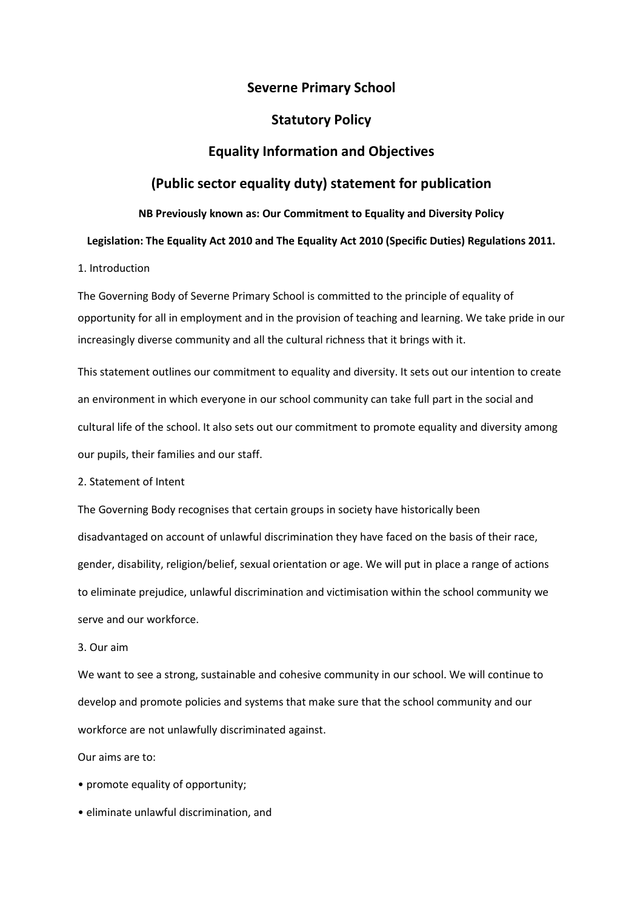# **Severne Primary School**

## **Statutory Policy**

## **Equality Information and Objectives**

# **(Public sector equality duty) statement for publication**

### **NB Previously known as: Our Commitment to Equality and Diversity Policy**

### **Legislation: The Equality Act 2010 and The Equality Act 2010 (Specific Duties) Regulations 2011.**

## 1. Introduction

The Governing Body of Severne Primary School is committed to the principle of equality of opportunity for all in employment and in the provision of teaching and learning. We take pride in our increasingly diverse community and all the cultural richness that it brings with it.

This statement outlines our commitment to equality and diversity. It sets out our intention to create an environment in which everyone in our school community can take full part in the social and cultural life of the school. It also sets out our commitment to promote equality and diversity among our pupils, their families and our staff.

#### 2. Statement of Intent

The Governing Body recognises that certain groups in society have historically been disadvantaged on account of unlawful discrimination they have faced on the basis of their race, gender, disability, religion/belief, sexual orientation or age. We will put in place a range of actions to eliminate prejudice, unlawful discrimination and victimisation within the school community we serve and our workforce.

### 3. Our aim

We want to see a strong, sustainable and cohesive community in our school. We will continue to develop and promote policies and systems that make sure that the school community and our workforce are not unlawfully discriminated against.

Our aims are to:

- promote equality of opportunity;
- eliminate unlawful discrimination, and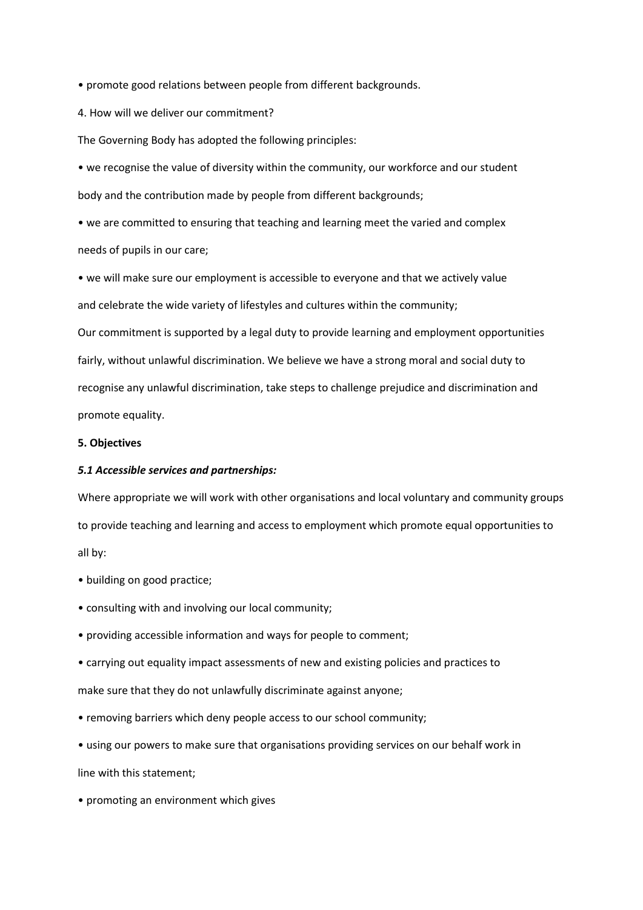• promote good relations between people from different backgrounds.

4. How will we deliver our commitment?

The Governing Body has adopted the following principles:

• we recognise the value of diversity within the community, our workforce and our student body and the contribution made by people from different backgrounds;

• we are committed to ensuring that teaching and learning meet the varied and complex needs of pupils in our care;

• we will make sure our employment is accessible to everyone and that we actively value and celebrate the wide variety of lifestyles and cultures within the community;

Our commitment is supported by a legal duty to provide learning and employment opportunities fairly, without unlawful discrimination. We believe we have a strong moral and social duty to recognise any unlawful discrimination, take steps to challenge prejudice and discrimination and promote equality.

## **5. Objectives**

#### *5.1 Accessible services and partnerships:*

Where appropriate we will work with other organisations and local voluntary and community groups to provide teaching and learning and access to employment which promote equal opportunities to all by:

- building on good practice;
- consulting with and involving our local community;
- providing accessible information and ways for people to comment;
- carrying out equality impact assessments of new and existing policies and practices to make sure that they do not unlawfully discriminate against anyone;
- removing barriers which deny people access to our school community;
- using our powers to make sure that organisations providing services on our behalf work in

line with this statement;

• promoting an environment which gives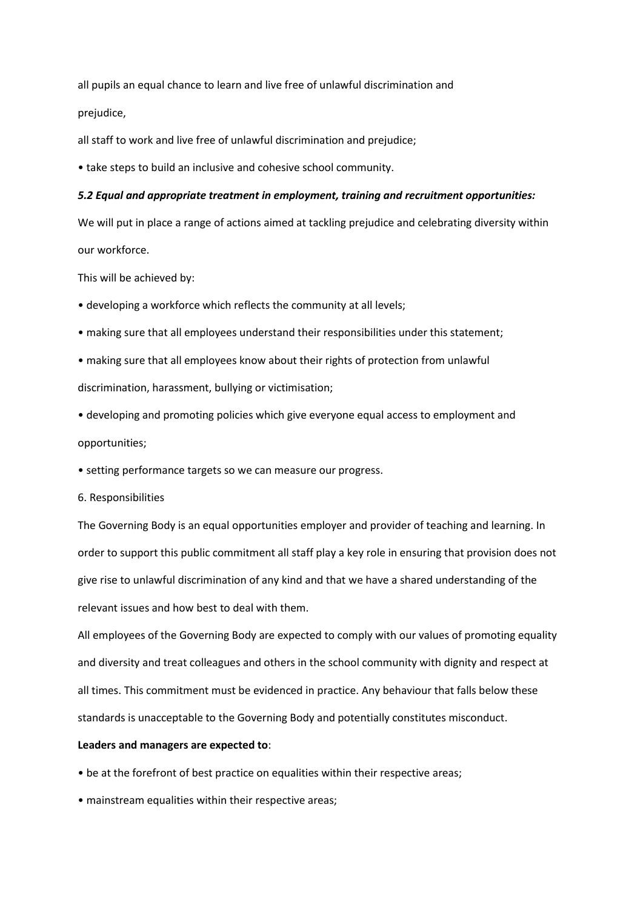all pupils an equal chance to learn and live free of unlawful discrimination and prejudice,

all staff to work and live free of unlawful discrimination and prejudice;

• take steps to build an inclusive and cohesive school community.

#### *5.2 Equal and appropriate treatment in employment, training and recruitment opportunities:*

We will put in place a range of actions aimed at tackling prejudice and celebrating diversity within our workforce.

This will be achieved by:

- developing a workforce which reflects the community at all levels;
- making sure that all employees understand their responsibilities under this statement;
- making sure that all employees know about their rights of protection from unlawful discrimination, harassment, bullying or victimisation;
- developing and promoting policies which give everyone equal access to employment and opportunities;
- setting performance targets so we can measure our progress.
- 6. Responsibilities

The Governing Body is an equal opportunities employer and provider of teaching and learning. In order to support this public commitment all staff play a key role in ensuring that provision does not give rise to unlawful discrimination of any kind and that we have a shared understanding of the relevant issues and how best to deal with them.

All employees of the Governing Body are expected to comply with our values of promoting equality and diversity and treat colleagues and others in the school community with dignity and respect at all times. This commitment must be evidenced in practice. Any behaviour that falls below these standards is unacceptable to the Governing Body and potentially constitutes misconduct.

#### **Leaders and managers are expected to**:

- be at the forefront of best practice on equalities within their respective areas;
- mainstream equalities within their respective areas;